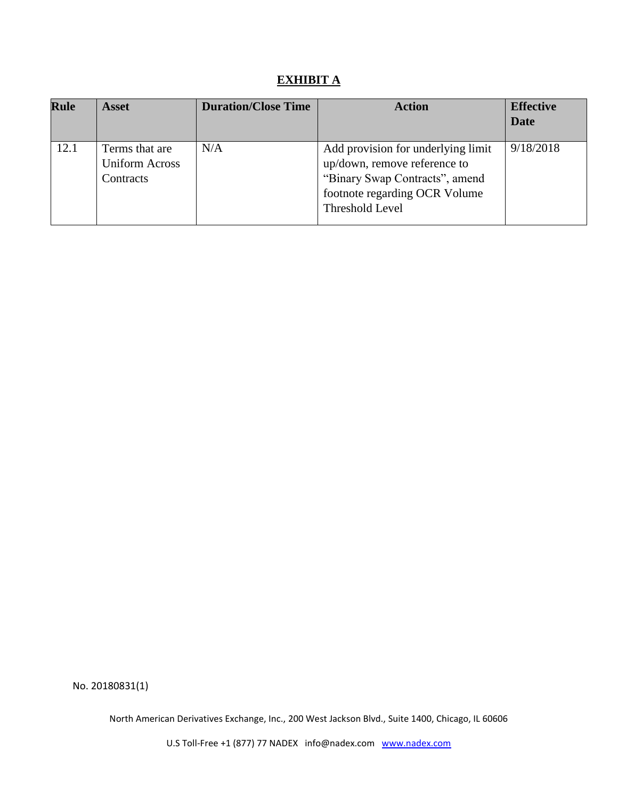# **EXHIBIT A**

| <b>Rule</b> | <b>Asset</b>                                         | <b>Duration/Close Time</b> | <b>Action</b>                                                                                                                                            | <b>Effective</b><br><b>Date</b> |
|-------------|------------------------------------------------------|----------------------------|----------------------------------------------------------------------------------------------------------------------------------------------------------|---------------------------------|
| 12.1        | Terms that are<br><b>Uniform Across</b><br>Contracts | N/A                        | Add provision for underlying limit<br>up/down, remove reference to<br>"Binary Swap Contracts", amend<br>footnote regarding OCR Volume<br>Threshold Level | 9/18/2018                       |

No. 20180831(1)

North American Derivatives Exchange, Inc., 200 West Jackson Blvd., Suite 1400, Chicago, IL 60606

U.S Toll-Free +1 (877) 77 NADEX info@nadex.com [www.nadex.com](http://www.nadex.com/)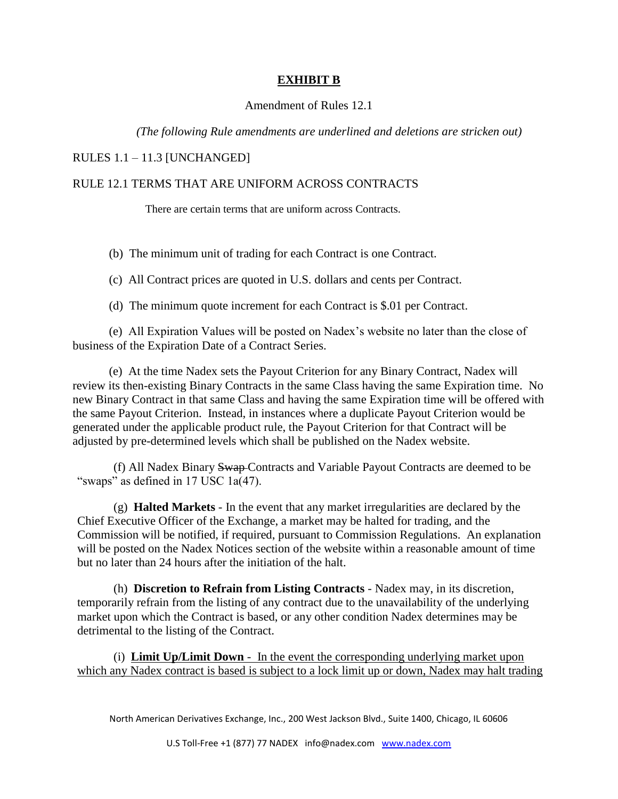## **EXHIBIT B**

#### Amendment of Rules 12.1

*(The following Rule amendments are underlined and deletions are stricken out)*

#### RULES 1.1 – 11.3 [UNCHANGED]

## RULE 12.1 TERMS THAT ARE UNIFORM ACROSS CONTRACTS

There are certain terms that are uniform across Contracts.

(b) The minimum unit of trading for each Contract is one Contract.

(c) All Contract prices are quoted in U.S. dollars and cents per Contract.

(d) The minimum quote increment for each Contract is \$.01 per Contract.

(e) All Expiration Values will be posted on Nadex's website no later than the close of business of the Expiration Date of a Contract Series.

(e) At the time Nadex sets the Payout Criterion for any Binary Contract, Nadex will review its then-existing Binary Contracts in the same Class having the same Expiration time. No new Binary Contract in that same Class and having the same Expiration time will be offered with the same Payout Criterion. Instead, in instances where a duplicate Payout Criterion would be generated under the applicable product rule, the Payout Criterion for that Contract will be adjusted by pre-determined levels which shall be published on the Nadex website.

(f) All Nadex Binary Swap Contracts and Variable Payout Contracts are deemed to be "swaps" as defined in 17 USC 1a(47).

(g) **Halted Markets** - In the event that any market irregularities are declared by the Chief Executive Officer of the Exchange, a market may be halted for trading, and the Commission will be notified, if required, pursuant to Commission Regulations. An explanation will be posted on the Nadex Notices section of the website within a reasonable amount of time but no later than 24 hours after the initiation of the halt.

(h) **Discretion to Refrain from Listing Contracts** - Nadex may, in its discretion, temporarily refrain from the listing of any contract due to the unavailability of the underlying market upon which the Contract is based, or any other condition Nadex determines may be detrimental to the listing of the Contract.

(i) **Limit Up/Limit Down** - In the event the corresponding underlying market upon which any Nadex contract is based is subject to a lock limit up or down, Nadex may halt trading

North American Derivatives Exchange, Inc., 200 West Jackson Blvd., Suite 1400, Chicago, IL 60606

U.S Toll-Free +1 (877) 77 NADEX info@nadex.com [www.nadex.com](http://www.nadex.com/)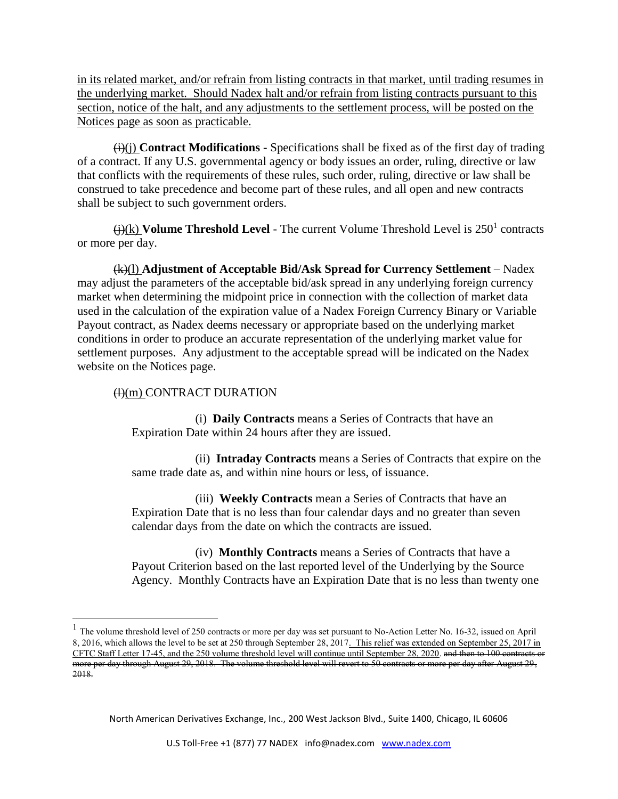in its related market, and/or refrain from listing contracts in that market, until trading resumes in the underlying market. Should Nadex halt and/or refrain from listing contracts pursuant to this section, notice of the halt, and any adjustments to the settlement process, will be posted on the Notices page as soon as practicable.

 $(\hat{\theta})$  **Contract Modifications -** Specifications shall be fixed as of the first day of trading of a contract. If any U.S. governmental agency or body issues an order, ruling, directive or law that conflicts with the requirements of these rules, such order, ruling, directive or law shall be construed to take precedence and become part of these rules, and all open and new contracts shall be subject to such government orders.

 $\frac{f(x)}{g(x)}$  **Volume Threshold Level** - The current Volume Threshold Level is 250<sup>1</sup> contracts or more per day.

(k)(l) **Adjustment of Acceptable Bid/Ask Spread for Currency Settlement** – Nadex may adjust the parameters of the acceptable bid/ask spread in any underlying foreign currency market when determining the midpoint price in connection with the collection of market data used in the calculation of the expiration value of a Nadex Foreign Currency Binary or Variable Payout contract, as Nadex deems necessary or appropriate based on the underlying market conditions in order to produce an accurate representation of the underlying market value for settlement purposes. Any adjustment to the acceptable spread will be indicated on the Nadex website on the Notices page.

## (l)(m) CONTRACT DURATION

 $\overline{\phantom{a}}$ 

(i) **Daily Contracts** means a Series of Contracts that have an Expiration Date within 24 hours after they are issued.

(ii) **Intraday Contracts** means a Series of Contracts that expire on the same trade date as, and within nine hours or less, of issuance.

(iii) **Weekly Contracts** mean a Series of Contracts that have an Expiration Date that is no less than four calendar days and no greater than seven calendar days from the date on which the contracts are issued.

(iv) **Monthly Contracts** means a Series of Contracts that have a Payout Criterion based on the last reported level of the Underlying by the Source Agency. Monthly Contracts have an Expiration Date that is no less than twenty one

North American Derivatives Exchange, Inc., 200 West Jackson Blvd., Suite 1400, Chicago, IL 60606

<sup>&</sup>lt;sup>1</sup> The volume threshold level of 250 contracts or more per day was set pursuant to No-Action Letter No. 16-32, issued on April 8, 2016, which allows the level to be set at 250 through September 28, 2017. This relief was extended on September 25, 2017 in CFTC Staff Letter 17-45, and the 250 volume threshold level will continue until September 28, 2020. and then to 100 contracts or more per day through August 29, 2018. The volume threshold level will revert to 50 contracts or more per day after August 29, 2018.